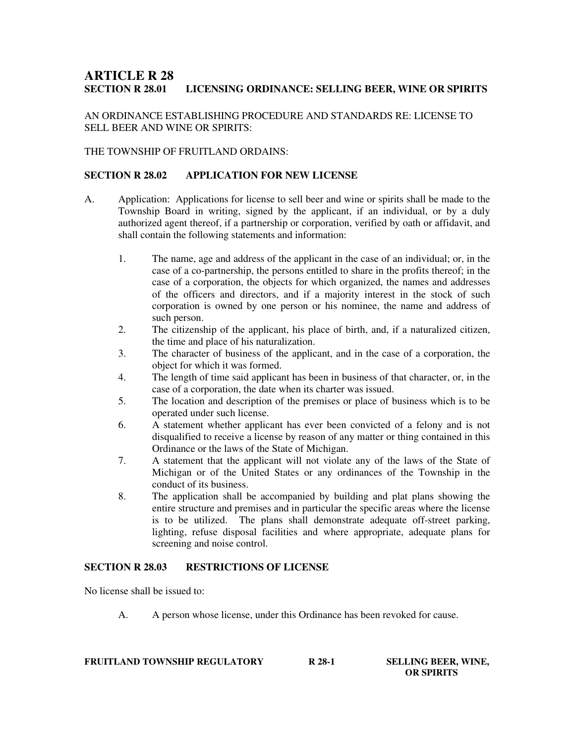# **ARTICLE R 28 LICENSING ORDINANCE: SELLING BEER, WINE OR SPIRITS**

AN ORDINANCE ESTABLISHING PROCEDURE AND STANDARDS RE: LICENSE TO SELL BEER AND WINE OR SPIRITS:

# THE TOWNSHIP OF FRUITLAND ORDAINS:

# **SECTION R 28.02 APPLICATION FOR NEW LICENSE**

- A. Application: Applications for license to sell beer and wine or spirits shall be made to the Township Board in writing, signed by the applicant, if an individual, or by a duly authorized agent thereof, if a partnership or corporation, verified by oath or affidavit, and shall contain the following statements and information:
	- 1. The name, age and address of the applicant in the case of an individual; or, in the case of a co-partnership, the persons entitled to share in the profits thereof; in the case of a corporation, the objects for which organized, the names and addresses of the officers and directors, and if a majority interest in the stock of such corporation is owned by one person or his nominee, the name and address of such person.
	- 2. The citizenship of the applicant, his place of birth, and, if a naturalized citizen, the time and place of his naturalization.
	- 3. The character of business of the applicant, and in the case of a corporation, the object for which it was formed.
	- 4. The length of time said applicant has been in business of that character, or, in the case of a corporation, the date when its charter was issued.
	- 5. The location and description of the premises or place of business which is to be operated under such license.
	- 6. A statement whether applicant has ever been convicted of a felony and is not disqualified to receive a license by reason of any matter or thing contained in this Ordinance or the laws of the State of Michigan.
	- 7. A statement that the applicant will not violate any of the laws of the State of Michigan or of the United States or any ordinances of the Township in the conduct of its business.
	- 8. The application shall be accompanied by building and plat plans showing the entire structure and premises and in particular the specific areas where the license is to be utilized. The plans shall demonstrate adequate off-street parking, lighting, refuse disposal facilities and where appropriate, adequate plans for screening and noise control.

# **SECTION R 28.03 RESTRICTIONS OF LICENSE**

No license shall be issued to:

A. A person whose license, under this Ordinance has been revoked for cause.

| <b>FRUITLAND TOWNSHIP REGULATORY</b> | R 28-1 | <b>SELLING BEER, WINE,</b> |
|--------------------------------------|--------|----------------------------|
|                                      |        | <b>OR SPIRITS</b>          |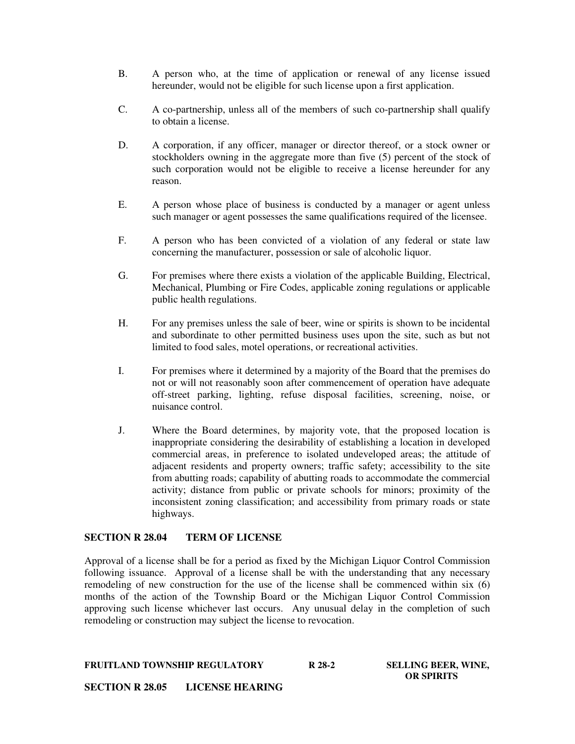- B. A person who, at the time of application or renewal of any license issued hereunder, would not be eligible for such license upon a first application.
- C. A co-partnership, unless all of the members of such co-partnership shall qualify to obtain a license.
- D. A corporation, if any officer, manager or director thereof, or a stock owner or stockholders owning in the aggregate more than five (5) percent of the stock of such corporation would not be eligible to receive a license hereunder for any reason.
- E. A person whose place of business is conducted by a manager or agent unless such manager or agent possesses the same qualifications required of the licensee.
- F. A person who has been convicted of a violation of any federal or state law concerning the manufacturer, possession or sale of alcoholic liquor.
- G. For premises where there exists a violation of the applicable Building, Electrical, Mechanical, Plumbing or Fire Codes, applicable zoning regulations or applicable public health regulations.
- H. For any premises unless the sale of beer, wine or spirits is shown to be incidental and subordinate to other permitted business uses upon the site, such as but not limited to food sales, motel operations, or recreational activities.
- I. For premises where it determined by a majority of the Board that the premises do not or will not reasonably soon after commencement of operation have adequate off-street parking, lighting, refuse disposal facilities, screening, noise, or nuisance control.
- J. Where the Board determines, by majority vote, that the proposed location is inappropriate considering the desirability of establishing a location in developed commercial areas, in preference to isolated undeveloped areas; the attitude of adjacent residents and property owners; traffic safety; accessibility to the site from abutting roads; capability of abutting roads to accommodate the commercial activity; distance from public or private schools for minors; proximity of the inconsistent zoning classification; and accessibility from primary roads or state highways.

# **SECTION R 28.04 TERM OF LICENSE**

Approval of a license shall be for a period as fixed by the Michigan Liquor Control Commission following issuance. Approval of a license shall be with the understanding that any necessary remodeling of new construction for the use of the license shall be commenced within six (6) months of the action of the Township Board or the Michigan Liquor Control Commission approving such license whichever last occurs. Any unusual delay in the completion of such remodeling or construction may subject the license to revocation.

 **OR SPIRITS**

#### **FRUITLAND TOWNSHIP REGULATORY R 28-2 SELLING BEER, WINE,**

**SECTION R 28.05 LICENSE HEARING**